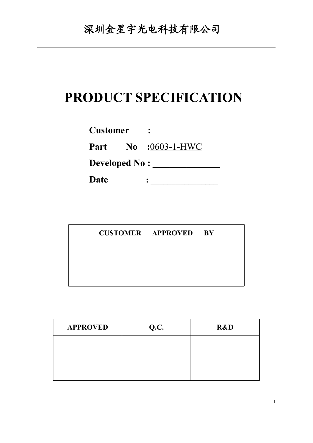# **PRODUCT SPECIFICATION**

| <b>Customer</b>      |                            |  |
|----------------------|----------------------------|--|
|                      | <b>Part</b> No :0603-1-HWC |  |
| <b>Developed No:</b> |                            |  |
| Date                 |                            |  |

|  | <b>CUSTOMER APPROVED BY</b> |  |
|--|-----------------------------|--|
|  |                             |  |
|  |                             |  |
|  |                             |  |

| <b>APPROVED</b> | Q.C. | R&D |
|-----------------|------|-----|
|                 |      |     |
|                 |      |     |
|                 |      |     |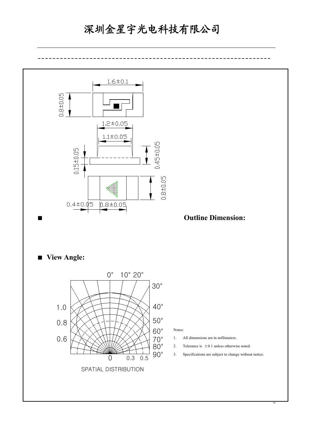## 深圳金星宇光电科技有限公司

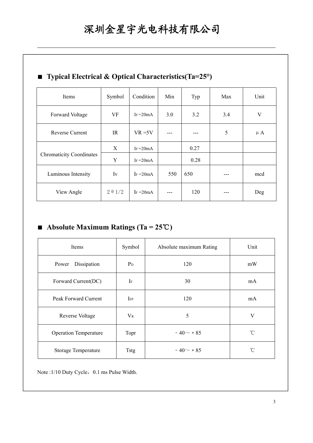| $\blacksquare$ Typical Electrical & Optical Characteristics (1a $\blacktriangle$ ) |                |              |       |      |     |         |
|------------------------------------------------------------------------------------|----------------|--------------|-------|------|-----|---------|
| Items                                                                              | Symbol         | Condition    | Min   | Typ  | Max | Unit    |
| Forward Voltage                                                                    | VF             | IF $=20mA$   | 3.0   | 3.2  | 3.4 | V       |
| Reverse Current                                                                    | IR             | $VR = 5V$    | $---$ | ---  | 5   | $\mu$ A |
| <b>Chromaticity Coordinates</b>                                                    | X              | IF $=20mA$   |       | 0.27 |     |         |
|                                                                                    | Y              | IF $=20mA$   |       | 0.28 |     |         |
| Luminous Intensity                                                                 | Iv             | $I_F = 20mA$ | 550   | 650  |     | mcd     |
| View Angle                                                                         | $2 \theta 1/2$ | $I_F = 20mA$ | $---$ | 120  |     | Deg     |

### ■ **Typical Electrical & Optical Characteristics(Ta=25°)**

### ■ **Absolute Maximum Ratings (Ta = 25**℃**)**

| Items                        | Symbol    | Absolute maximum Rating | Unit         |
|------------------------------|-----------|-------------------------|--------------|
| Dissipation<br>Power         | $P_D$     | 120                     | mW           |
| Forward Current(DC)          | $\rm I$ F | 30                      | mA           |
| Peak Forward Current         | IFP       | 120                     | mA           |
| Reverse Voltage              | $V_{R}$   | 5                       | $\mathbf{V}$ |
| <b>Operation Temperature</b> | Topr      | $-40 \sim +85$          | $^{\circ}$ C |
| Storage Temperature          | Tstg      | $-40 \sim +85$          | $^{\circ}$ C |

Note :1/10 Duty Cycle, 0.1 ms Pulse Width.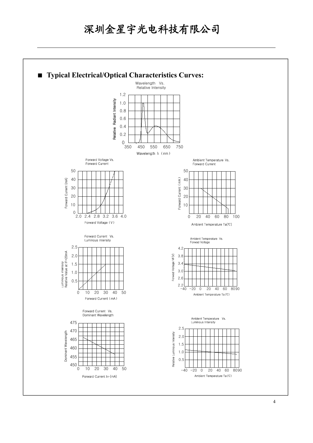## 深圳金星宇光电科技有限公司

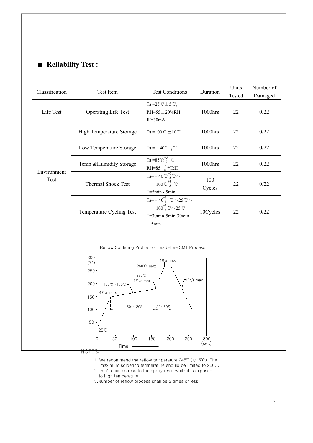### ■ **Reliability Test :**

| Classification      | Test Item                  | <b>Test Conditions</b>                                                                                           | Duration      | Units<br>Tested | Number of<br>Damaged |
|---------------------|----------------------------|------------------------------------------------------------------------------------------------------------------|---------------|-----------------|----------------------|
| Life Test           | <b>Operating Life Test</b> | Ta= $25^{\circ}$ C ± $5^{\circ}$ C,<br>RH=55 $\pm$ 20%RH,<br>$IF = 30mA$                                         | 1000hrs       | 22              | 0/22                 |
| Environment<br>Test | High Temperature Storage   | Ta= $100^{\circ}$ C ± $10^{\circ}$ C                                                                             | 1000hrs       | 22              | 0/22                 |
|                     | Low Temperature Storage    | $Ta = -40^{\circ}C_{-5}^{+3}^{\circ}C$                                                                           | 1000hrs       | 22              | 0/22                 |
|                     | Temp & Humidity Storage    | Ta=85°C $^{+5}_{-3}$ °C<br>RH=85 $^{+5}_{-10}$ %RH                                                               | 1000hrs       | 22              | 0/22                 |
|                     | <b>Thermal Shock Test</b>  | Ta= - 40 °C $^{+5}_{-3}$ °C $\sim$<br>$100^{\circ}C_{-5}^{+3}$ $^{\circ}C$<br>$T = 5min - 5min$                  | 100<br>Cycles | 22              | 0/22                 |
|                     | Temperature Cycling Test   | Ta= - $40^{+3}_{-5}$ °C ~ 25°C ~<br>$100^{+5}_{-3}$ °C $\sim$ 25°C<br>$T=30$ min-5min-30min-<br>5 <sub>min</sub> | 10Cycles      | 22              | 0/22                 |

Reflow Soldering Profile For Lead-free SMT Process.



NOTES:

1. We recommend the reflow temperature245℃(+/-5℃).The

maximum soldering temperature should be limited to 260℃. 2.Don't cause stress to the epoxy resin while it is exposed

to high temperature.

3.Number of reflow process shall be 2 times or less.

深圳金星宇光电科技有限公司